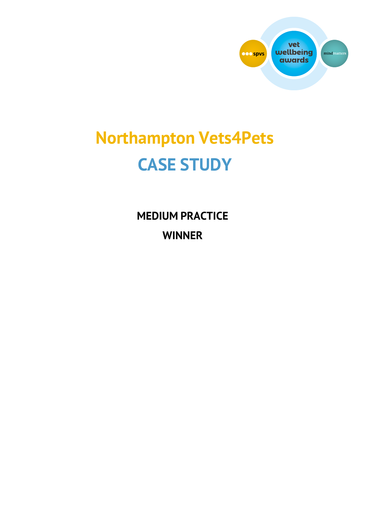

## **Northampton Vets4Pets CASE STUDY**

**MEDIUM PRACTICE WINNER**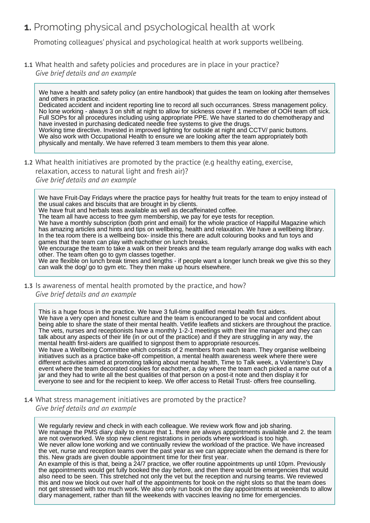## **1.** Promoting physical and psychological health at work

Promoting colleagues' physical and psychological health at work supports wellbeing.

**1.1** What health and safety policies and procedures are in place in your practice? *Give brief details and an example* 

We have a health and safety policy (an entire handbook) that quides the team on looking after themselves and others in practice.

Dedicated accident and incident reporting line to record all such occurrances. Stress management policy. No lone working - always 3 on shift at night to allow for sickness cover if 1 memeber of OOH team off sick. Full SOPs for all procedures including using appropriate PPE. We have started to do chemotherapy and have invested in purchasing dedicated needle free systems to give the drugs. Working time directive. Invested in improved lighting for outside at night and CCTV/ panic buttons. We also work with Occupational Health to ensure we are looking after the team appropriately both physically and mentally. We have referred 3 team members to them this year alone.

**1.2** What health initiatives are promoted by the practice (e.g healthy eating, exercise, relaxation, access to natural light and fresh air)?

*Give brief details and an example* 

We have Fruit-Day Fridays where the practice pays for healthy fruit treats for the team to enjoy instead of the usual cakes and biscuits that are brought in by clients.

We have fruit and herbals teas available as well as decaffeinated coffee.

The team all have access to free gym membership, we pay for eye tests for reception.

We have a monthly subscription (both print and email) for the whole practice of Happiful Magazine which has amazing articles and hints and tips on wellbeing, health and relaxation. We have a wellbeing library. In the tea room there is a wellbeing box- inside this there are adult colouring books and fun toys and games that the team can play with eachother on lunch breaks.

We encourage the team to take a walk on their breaks and the team regularly arrange dog walks with each other. The team often go to gym classes together.

We are flexible on lunch break times and lengths - if people want a longer lunch break we give this so they can walk the dog/ go to gym etc. They then make up hours elsewhere.

**1.3** Is awareness of mental health promoted by the practice, and how?

*Give brief details and an example* 

This is a huge focus in the practice. We have 3 full-time qualified mental health first aiders. We have a very open and honest culture and the team is encouranged to be vocal and confident about being able to share the state of their mental health. Vetlife leaflets and stickers are throughout the practice. The vets, nurses and receptionists have a monthly 1-2-1 meetings with their line manager and they can talk about any aspects of their life (in or out of the practice) and if they are struggling in any way, the mental health first-aiders are qualified to signpost them to appropriate resources. We have a Wellbeing Committee which consists of 2 members from each team. They organise wellbeing initiatives such as a practice bake-off competition, a mental health awareness week where there were different activities aimed at promoting talking about mental health, Time to Talk week, a Valentine's Day event where the team decorated cookies for eachother, a day where the team each picked a name out of a jar and they had to write all the best qualities of that person on a post-it note and then display it for everyone to see and for the recipient to keep. We offer access to Retail Trust- offers free counselling.

**1.4** What stress management initiatives are promoted by the practice? *Give brief details and an example* 

We regularly review and check in with each colleague. We review work flow and job sharing. We manage the PMS diary daily to ensure that 1, there are always apppintments available and 2, the team are not overworked. We stop new client registrations in periods where workload is too high. We never allow lone working and we continually review the workload of the practice. We have increased the vet, nurse and reception teams over the past year as we can appreciate when the demand is there for this. New grads are given double appointment time for their first year. An example of this is that, being a 24/7 practice, we offer routine appointments up until 10pm. Previously the appointments would get fully booked the day before, and then there would be emergencies that would also need to be seen. This stretched not only the vet but the reception and nursing teams. We reviewed this and now we block out over half of the appointments for book on the night slots so that the team does not get stressed with too much work. We also only run book on the day appointments at weekends to allow diary management, rather than fill the weekends with vaccines leaving no time for emergencies.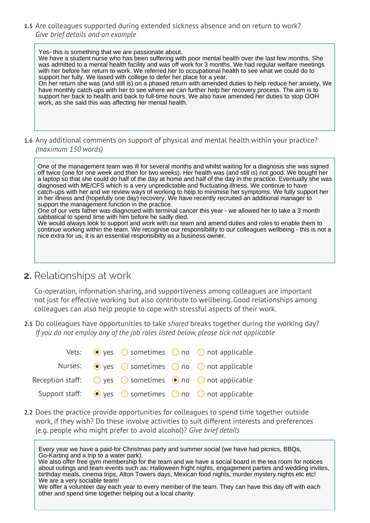**1.5** Are colleagues supported during extended sickness absence and on return to work? *Give brief details and an example* 

work, as she said this was affecting her mental health.

Yes- this is something that we are passionate about. We have a student nurse who has been suffering with poor mental health over the last few months. She was admitted to a mental health facility and was off work for 3 months. We had regular welfare meetings with her before her return to work. We referred her to occupational health to see what we could do to support her fully. We liased with college to defer her place for a year. On her return she was (and still is) on a phased return with amended duties to help reduce her anxiety. We have monthly catch-ups with her to see where we can further help her recovery process. The aim is to

support her back to health and back to full-time hours. We also have amended her duties to stop OOH

**1.6** Any additional comments on support of physical and mental health within your practice? *(maximum 150 words)* 

One of the management team was ill for several months and whilst waiting for a diagnosis she was signed off twice (one for one week and then for two weeks). Her health was (and still is) not good. We bought her a laptop so that she could do half of the day at home and half of the day in the practice. Eventually she was diagnosed with ME/CFS which is a very unpredictable and fluctuating illness. We continue to have catch-ups with her and we review ways of working to help to minimise her symptoms. We fully support her in her illness and (hopefully one day) recovery. We have recently recruited an additional manager to support the management function in the practice.

One of our vets father was diagnosed with terminal cancer this year - we allowed her to take a 3 month sabbatical to spend time with him before he sadly died.

We would always look to support and work with our team and amend duties and roles to enable them to continue working within the team. We recognise our responsibility to our colleagues wellbeing - this is not a nice extra for us, it is an essential responsibilty as a business owner.

**2.** Relationships at work

Co-operation, information sharing, and supportiveness among colleagues are important not just for effective working but also contribute to wellbeing. Good relationships among colleagues can also help people to cope with stressful aspects of their work.

**2.1** Do colleagues have opportunities to take *shared* breaks together during the working day? *If you do not employ any of the job roles listed below, please tick not applicable* 

|  |  | Vets: $\bullet$ yes $\circ$ sometimes $\circ$ no $\circ$ not applicable                      |
|--|--|----------------------------------------------------------------------------------------------|
|  |  | Nurses: $\odot$ yes $\odot$ sometimes $\odot$ no $\odot$ not applicable                      |
|  |  | Reception staff: $\bigcirc$ yes $\bigcirc$ sometimes $\bigcirc$ no $\bigcirc$ not applicable |
|  |  | Support staff: $\bullet$ yes $\circ$ sometimes $\circ$ no $\circ$ not applicable             |

**2.2** Does the practice provide opportunities for colleagues to spend time together outside work, if they wish? Do these involve activities to suit different interests and preferences (e.g. people who might prefer to avoid alcohol)? *Give brief details*

Every year we have a paid-for Christmas party and summer social (we have had picnics, BBQs, Go-Karting and a trip to a water park). We also offer free gym membership for the team and we have a social board in the tea room for notices about outings and team events such as: Halloween fright nights, engagement parties and wedding invites, birthday meals, cinema trips, Alton Towers days, Mexican food nights, murder mystery nights etc etc! We are a very sociable team! We offer a volunteer day each year to every member of the team. They can have this day off with each other and spend time together helping out a local charity.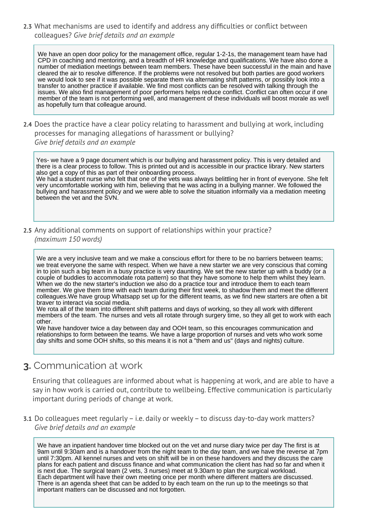**2.3** What mechanisms are used to identify and address any difficulties or conflict between colleagues? *Give brief details and an example* 

We have an open door policy for the management office, regular 1-2-1s, the management team have had CPD in coaching and mentoring, and a breadth of HR knowledge and qualifications. We have also done a number of mediation meetings between team members. These have been successful in the main and have cleared the air to resolve difference. If the problems were not resolved but both parties are good workers we would look to see if it was possible separate them via alternating shift patterns, or possibly look into a transfer to another practice if available. We find most conflicts can be resolved with talking through the issues. We also find management of poor performers helps reduce conflict. Conflict can often occur if one member of the team is not performing well, and management of these individuals will boost morale as well as hopefully turn that colleague around.

**2.4** Does the practice have a clear policy relating to harassment and bullying at work, including processes for managing allegations of harassment or bullying? *Give brief details and an example* 

Yes- we have a 9 page document which is our bullying and harassment policy. This is very detailed and there is a clear process to follow. This is printed out and is accessible in our practice library. New starters also get a copy of this as part of their onboarding process. We had a student nurse who felt that one of the vets was always belittling her in front of everyone. She felt

very uncomfortable working with him, believing that he was acting in a bullying manner. We followed the bullying and harassment policy and we were able to solve the situation informally via a mediation meeting between the vet and the SVN.

**2.5** Any additional comments on support of relationships within your practice? *(maximum 150 words)*

We are a very inclusive team and we make a conscious effort for there to be no barriers between teams; we treat everyone the same with respect. When we have a new starter we are very conscious that coming in to join such a big team in a busy practice is very daunting. We set the new starter up with a buddy (or a couple of buddies to accommodate rota pattern) so that they have somone to help them whilst they learn. When we do the new starter's induction we also do a practice tour and introduce them to each team member. We give them time with each team during their first week, to shadow them and meet the different colleagues.We have group Whatsapp set up for the different teams, as we find new starters are often a bit braver to interact via social media.

We rota all of the team into different shift patterns and days of working, so they all work with different members of the team. The nurses and vets all rotate through surgery time, so they all get to work with each other.

We have handover twice a day between day and OOH team, so this encourages communication and relationships to form between the teams. We have a large proportion of nurses and vets who work some day shifts and some OOH shifts, so this means it is not a "them and us" (days and nights) culture.

## **3.** Communication at work

Ensuring that colleagues are informed about what is happening at work, and are able to have a say in how work is carried out, contribute to wellbeing. Effective communication is particularly important during periods of change at work.

**3.1** Do colleagues meet regularly – i.e. daily or weekly – to discuss day-to-day work matters? *Give brief details and an example* 

We have an inpatient handover time blocked out on the vet and nurse diary twice per day The first is at 9am until 9:30am and is a handover from the night team to the day team, and we have the reverse at 7pm until 7:30pm. All kennel nurses and vets on shift will be in on these handovers and they discuss the care plans for each patient and discuss finance and what communication the client has had so far and when it is next due. The surgical team (2 vets, 3 nurses) meet at 9.30am to plan the surgical workload. Each department will have their own meeting once per month where different matters are discussed. There is an agenda sheet that can be added to by each team on the run up to the meetings so that important matters can be discussed and not forgotten.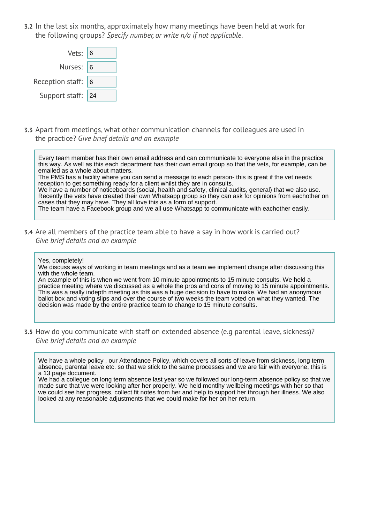**3.2** In the last six months, approximately how many meetings have been held at work for the following groups? *Specify number, or write n/a if not applicable.*



**3.3** Apart from meetings, what other communication channels for colleagues are used in the practice? *Give brief details and an example* 

Every team member has their own email address and can communicate to everyone else in the practice this way. As well as this each department has their own email group so that the vets, for example, can be emailed as a whole about matters.

The PMS has a facility where you can send a message to each person- this is great if the vet needs reception to get something ready for a client whilst they are in consults. We have a number of noticeboards (social, health and safety, clinical audits, general) that we also use. Recently the vets have created their own Whatsapp group so they can ask for opinions from eachother on cases that they may have. They all love this as a form of support.

The team have a Facebook group and we all use Whatsapp to communicate with eachother easily.

**3.4** Are all members of the practice team able to have a say in how work is carried out? *Give brief details and an example* 

Yes, completely!

We discuss ways of working in team meetings and as a team we implement change after discussing this with the whole team.

An example of this is when we went from 10 minute appointments to 15 minute consults. We held a practice meeting where we discussed as a whole the pros and cons of moving to 15 minute appointments. This was a really indepth meeting as this was a huge decision to have to make. We had an anonymous ballot box and voting slips and over the course of two weeks the team voted on what they wanted. The decision was made by the entire practice team to change to 15 minute consults.

**3.5** How do you communicate with staff on extended absence (e.g parental leave, sickness)? *Give brief details and an example* 

We have a whole policy , our Attendance Policy, which covers all sorts of leave from sickness, long term absence, parental leave etc. so that we stick to the same processes and we are fair with everyone, this is a 13 page document.

We had a collegue on long term absence last year so we followed our long-term absence policy so that we made sure that we were looking after her properly. We held montlhy wellbeing meetings with her so that we could see her progress, collect fit notes from her and help to support her through her illness. We also looked at any reasonable adjustments that we could make for her on her return.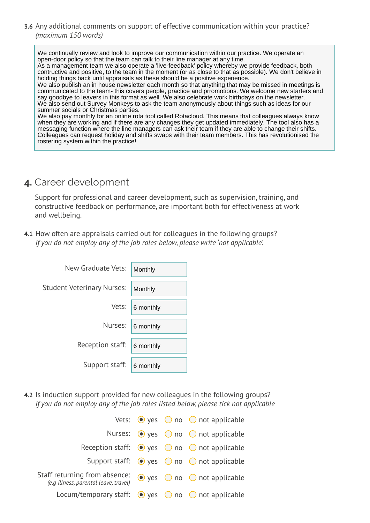**3.6** Any additional comments on support of effective communication within your practice? *(maximum 150 words)*

We continually review and look to improve our communication within our practice. We operate an open-door policy so that the team can talk to their line manager at any time. As a management team we also operate a 'live-feedback' policy whereby we provide feedback, both contructive and positive, to the team in the moment (or as close to that as possible). We don't believe in holding things back until appraisals as these should be a positive experience. We also publish an in house newsletter each month so that anything that may be missed in meetings is communicated to the team- this covers people, practice and prromotions. We welcome new starters and say goodbye to leavers in this format as well. We also celebrate work birthdays on the newsletter. We also send out Survey Monkeys to ask the team anonymously about things such as ideas for our summer socials or Christmas parties. We also pay monthly for an online rota tool called Rotacloud. This means that colleagues always know when they are working and if there are any changes they get updated immediately. The tool also has a messaging function where the line managers can ask their team if they are able to change their shifts. Colleagues can request holiday and shifts swaps with their team members. This has revolutionised the rostering system within the practice!

## **4.** Career development

Support for professional and career development, such as supervision, training, and constructive feedback on performance, are important both for effectiveness at work and wellbeing. rostering system within the practice!<br>
Career development<br>
Support for professional and career de<br>
constructive feedback on performance<br>
and wellbeing.<br>
How often are appraisals carried out f<br>
f you do not employ any of th

**4.1** How often are appraisals carried out for colleagues in the following groups? *If you do not employ any of the job roles below, please write 'not applicable'.*

| New Graduate Vets:                | Monthly   |
|-----------------------------------|-----------|
| <b>Student Veterinary Nurses:</b> | Monthly   |
| Vets:                             | 6 monthly |
| Nurses:                           | 6 monthly |
| Reception staff:                  | 6 monthly |
| Support staff:                    | 6 monthly |

**4.2** Is induction support provided for new colleagues in the following groups? *If you do not employ any of the job roles listed below, please tick not applicable* 

|                                                                        |  | Vets: $\bullet$ yes $\circ$ no $\circ$ not applicable            |
|------------------------------------------------------------------------|--|------------------------------------------------------------------|
|                                                                        |  | Nurses: $\odot$ yes $\odot$ no $\odot$ not applicable            |
|                                                                        |  | Reception staff: $\bullet$ yes $\circ$ no $\circ$ not applicable |
|                                                                        |  | Support staff: $\bullet$ yes $\circ$ no $\circ$ not applicable   |
| Staff returning from absence:<br>(e.g illness, parental leave, travel) |  | $\bullet$ yes $\circ$ no $\circ$ not applicable                  |
| Locum/temporary staff: $\bullet$ yes $\circ$ no $\circ$ not applicable |  |                                                                  |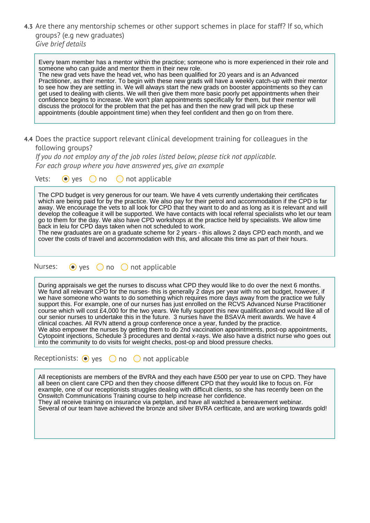**4.3** Are there any mentorship schemes or other support schemes in place for staff? If so, which groups? (e.g new graduates) *Give brief details*

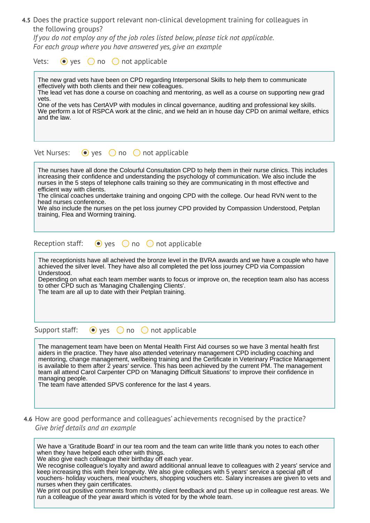**4.5** Does the practice support relevant non-clinical development training for colleagues in the following groups?

*If you do not employ any of the job roles listed below, please tick not applicable. For each group where you have answered yes, give an example* 

| effectively with both clients and their new colleagues.<br>vets.<br>and the law.<br>Vet Nurses:<br>$\bullet$ yes $\circ$ no $\circ$ not applicable<br>efficient way with clients.<br>head nurses conference.<br>training, Flea and Worming training.<br>Reception staff:<br>$\bullet$ yes $\circ$ no $\circ$ not applicable<br>Understood.<br>to other CPD such as 'Managing Challenging Clients'.<br>The team are all up to date with their Petplan training.<br>Support staff:<br>$\bullet$ yes<br>$\bigcirc$ no | The new grad vets have been on CPD regarding Interpersonal Skills to help them to communicate<br>The lead vet has done a course on coaching and mentoring, as well as a course on supporting new grad<br>One of the vets has CertAVP with modules in clincal governance, auditing and professional key skills.<br>We perform a lot of RSPCA work at the clinic, and we held an in house day CPD on animal welfare, ethics<br>The nurses have all done the Colourful Consultation CPD to help them in their nurse clinics. This includes<br>increasing their confidence and understanding the psychology of communication. We also include the<br>nurses in the 5 steps of telephone calls training so they are communicating in th most effective and<br>The clinical coaches undertake training and ongoing CPD with the college. Our head RVN went to the<br>We also include the nurses on the pet loss journey CPD provided by Compassion Understood, Petplan<br>The receptionists have all acheived the bronze level in the BVRA awards and we have a couple who have<br>achieved the silver level. They have also all completed the pet loss journey CPD via Compassion<br>Depending on what each team member wants to focus or improve on, the reception team also has access |
|--------------------------------------------------------------------------------------------------------------------------------------------------------------------------------------------------------------------------------------------------------------------------------------------------------------------------------------------------------------------------------------------------------------------------------------------------------------------------------------------------------------------|-------------------------------------------------------------------------------------------------------------------------------------------------------------------------------------------------------------------------------------------------------------------------------------------------------------------------------------------------------------------------------------------------------------------------------------------------------------------------------------------------------------------------------------------------------------------------------------------------------------------------------------------------------------------------------------------------------------------------------------------------------------------------------------------------------------------------------------------------------------------------------------------------------------------------------------------------------------------------------------------------------------------------------------------------------------------------------------------------------------------------------------------------------------------------------------------------------------------------------------------------------------------------------------|
|                                                                                                                                                                                                                                                                                                                                                                                                                                                                                                                    |                                                                                                                                                                                                                                                                                                                                                                                                                                                                                                                                                                                                                                                                                                                                                                                                                                                                                                                                                                                                                                                                                                                                                                                                                                                                                     |
|                                                                                                                                                                                                                                                                                                                                                                                                                                                                                                                    |                                                                                                                                                                                                                                                                                                                                                                                                                                                                                                                                                                                                                                                                                                                                                                                                                                                                                                                                                                                                                                                                                                                                                                                                                                                                                     |
|                                                                                                                                                                                                                                                                                                                                                                                                                                                                                                                    |                                                                                                                                                                                                                                                                                                                                                                                                                                                                                                                                                                                                                                                                                                                                                                                                                                                                                                                                                                                                                                                                                                                                                                                                                                                                                     |
|                                                                                                                                                                                                                                                                                                                                                                                                                                                                                                                    |                                                                                                                                                                                                                                                                                                                                                                                                                                                                                                                                                                                                                                                                                                                                                                                                                                                                                                                                                                                                                                                                                                                                                                                                                                                                                     |
|                                                                                                                                                                                                                                                                                                                                                                                                                                                                                                                    |                                                                                                                                                                                                                                                                                                                                                                                                                                                                                                                                                                                                                                                                                                                                                                                                                                                                                                                                                                                                                                                                                                                                                                                                                                                                                     |
|                                                                                                                                                                                                                                                                                                                                                                                                                                                                                                                    |                                                                                                                                                                                                                                                                                                                                                                                                                                                                                                                                                                                                                                                                                                                                                                                                                                                                                                                                                                                                                                                                                                                                                                                                                                                                                     |
|                                                                                                                                                                                                                                                                                                                                                                                                                                                                                                                    |                                                                                                                                                                                                                                                                                                                                                                                                                                                                                                                                                                                                                                                                                                                                                                                                                                                                                                                                                                                                                                                                                                                                                                                                                                                                                     |
|                                                                                                                                                                                                                                                                                                                                                                                                                                                                                                                    | $\bigcirc$ not applicable                                                                                                                                                                                                                                                                                                                                                                                                                                                                                                                                                                                                                                                                                                                                                                                                                                                                                                                                                                                                                                                                                                                                                                                                                                                           |
| managing people.<br>The team have attended SPVS conference for the last 4 years.                                                                                                                                                                                                                                                                                                                                                                                                                                   | The management team have been on Mental Health First Aid courses so we have 3 mental health first<br>aiders in the practice. They have also attended veterinary management CPD including coaching and<br>mentoring, change management, wellbeing training and the Certificate in Veterinary Practice Management<br>is available to them after 2 years' service. This has been achieved by the current PM. The management<br>team all attend Carol Carpenter CPD on 'Managing Difficult Situations' to improve their confidence in                                                                                                                                                                                                                                                                                                                                                                                                                                                                                                                                                                                                                                                                                                                                                   |
|                                                                                                                                                                                                                                                                                                                                                                                                                                                                                                                    |                                                                                                                                                                                                                                                                                                                                                                                                                                                                                                                                                                                                                                                                                                                                                                                                                                                                                                                                                                                                                                                                                                                                                                                                                                                                                     |

We have a 'Gratitude Board' in our tea room and the team can write little thank you notes to each other when they have helped each other with things. We also give each colleague their birthday off each year. We recognise colleague's loyalty and award additional annual leave to colleagues with 2 years' service and keep increasing this with their longevity. We also give collegues with 5 years' service a special gift of vouchers- holiday vouchers, meal vouchers, shopping vouchers etc. Salary increases are given to vets and nurses when they gain certificates. We print out positive comments from monthly client feedback and put these up in colleague rest areas. We run a colleague of the year award which is voted for by the whole team.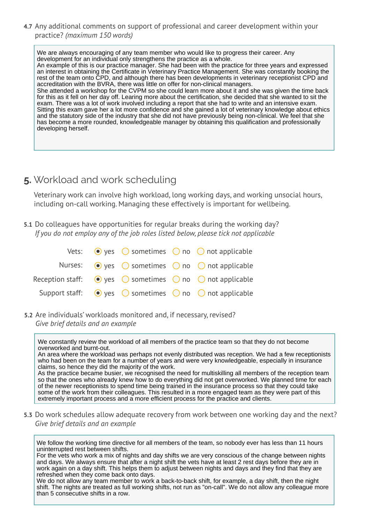**4.7** Any additional comments on support of professional and career development within your practice? *(maximum 150 words)*

We are always encouraging of any team member who would like to progress their career. Any development for an individual only strengthens the practice as a whole. An example of this is our practice manager. She had been with the practice for three years and expressed an interest in obtaining the Certificate in Veterinary Practice Management. She was constantly booking the rest of the team onto CPD, and although there has been developments in veterinary receptionist CPD and accreditation with the BVRA, there was little on offer for non-clinical managers. She attended a workshop for the CVPM so she could learn more about it and she was given the time back for this as it fell on her day off. Learing more about the certification, she decided that she wanted to sit the exam. There was a lot of work involved including a report that she had to write and an intensive exam. Sitting this exam gave her a lot more confidence and she gained a lot of veterinary knowledge about ethics and the statutory side of the industry that she did not have previously being non-clinical. We feel that she has become a more rounded, knowledgeable manager by obtaining this qualification and professionally developing herself.

**5.** Workload and work scheduling

Veterinary work can involve high workload, long working days, and working unsocial hours, including on-call working. Managing these effectively is important for wellbeing.

**5.1** Do colleagues have opportunities for regular breaks during the working day? *If you do not employ any of the job roles listed below, please tick not applicable* 

|  |  | Vets: $\bullet$ yes $\circ$ sometimes $\circ$ no $\circ$ not applicable                      |
|--|--|----------------------------------------------------------------------------------------------|
|  |  | Nurses: $\bullet$ yes $\circ$ sometimes $\circ$ no $\circ$ not applicable                    |
|  |  | Reception staff: $\bigcirc$ yes $\bigcirc$ sometimes $\bigcirc$ no $\bigcirc$ not applicable |
|  |  | Support staff: $\bullet$ yes $\circ$ sometimes $\circ$ no $\circ$ not applicable             |

**5.2** Are individuals' workloads monitored and, if necessary, revised? *Give brief details and an example* 

We constantly review the workload of all members of the practice team so that they do not become overworked and burnt-out.

An area where the workload was perhaps not evenly distributed was reception. We had a few receptionists who had been on the team for a number of years and were very knowledgeable, especially in insurance claims, so hence they did the majority of the work.

As the practice became busier, we recognised the need for multiskilling all members of the reception team so that the ones who already knew how to do everything did not get overworked. We planned time for each of the newer receptionists to spend time being trained in the insurance process so that they could take some of the work from their colleagues. This resulted in a more engaged team as they were part of this extremely important process and a more efficient process for the practice and clients.

**5.3** Do work schedules allow adequate recovery from work between one working day and the next? *Give brief details and an example* 

We follow the working time directive for all members of the team, so nobody ever has less than 11 hours uninterrupted rest between shifts.

For the vets who work a mix of nights and day shifts we are very conscious of the change between nights and days. We always ensure that after a night shift the vets have at least 2 rest days before they are in work again on a day shift. This helps them to adjust between nights and days and they find that they are refreshed when they come back onto days.

We do not allow any team member to work a back-to-back shift, for example, a day shift, then the night shift. The nights are treated as full working shifts, not run as "on-call". We do not allow any colleague more than 5 consecutive shifts in a row.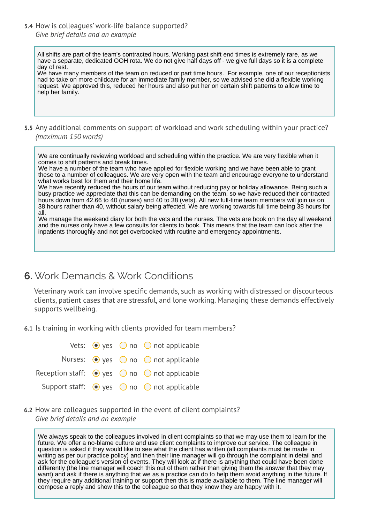**5.4** How is colleagues' work-life balance supported? *Give brief details and an example* 

All shifts are part of the team's contracted hours. Working past shift end times is extremely rare, as we have a separate, dedicated OOH rota. We do not give half days off - we give full days so it is a complete day of rest.

We have many members of the team on reduced or part time hours. For example, one of our receptionists had to take on more childcare for an immediate family member, so we advised she did a flexible working request. We approved this, reduced her hours and also put her on certain shift patterns to allow time to help her family.

**5.5** Any additional comments on support of workload and work scheduling within your practice? *(maximum 150 words)*

We are continually reviewing workload and scheduling within the practice. We are very flexible when it comes to shift patterns and break times.

We have a number of the team who have applied for flexible working and we have been able to grant these to a number of colleagues. We are very open with the team and encourage everyone to understand what works best for them and their home life.

We have recently reduced the hours of our team without reducing pay or holiday allowance. Being such a busy practice we appreciate that this can be demanding on the team, so we have reduced their contracted hours down from 42.66 to 40 (nurses) and 40 to 38 (vets). All new full-time team members will join us on 38 hours rather than 40, without salary being affected. We are working towards full time being 38 hours for all.

We manage the weekend diary for both the vets and the nurses. The vets are book on the day all weekend and the nurses only have a few consults for clients to book. This means that the team can look after the inpatients thoroughly and not get overbooked with routine and emergency appointments.

**6.** Work Demands & Work Conditions

Veterinary work can involve specific demands, such as working with distressed or discourteous clients, patient cases that are stressful, and lone working. Managing these demands effectively supports wellbeing.

**6.1** Is training in working with clients provided for team members?

|  | Vets: $\bullet$ yes $\circ$ no $\circ$ not applicable            |
|--|------------------------------------------------------------------|
|  | Nurses: $\odot$ yes $\odot$ no $\odot$ not applicable            |
|  | Reception staff: $\bullet$ yes $\circ$ no $\circ$ not applicable |
|  | Support staff: $\bullet$ yes $\circ$ no $\circ$ not applicable   |

**6.2** How are colleagues supported in the event of client complaints? *Give brief details and an example* 

We always speak to the colleagues involved in client complaints so that we may use them to learn for the future. We offer a no-blame culture and use client complaints to improve our service. The colleague in question is asked if they would like to see what the client has written (all complaints must be made in writing as per our practice policy) and then their line manager will go through the complaint in detail and ask for the colleague's version of events. They will look at if there is anything that could have been done differently (the line manager will coach this out of them rather than giving them the answer that they may want) and ask if there is anything that we as a practice can do to help them avoid anything in the future. If they require any additional training or support then this is made available to them. The line manager will compose a reply and show this to the colleague so that they know they are happy with it.